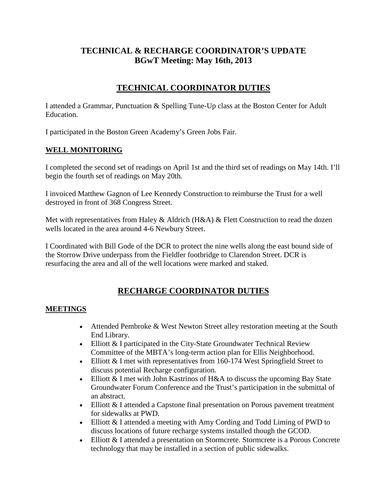## **TECHNICAL & RECHARGE COORDINATOR'S UPDATE BGwT Meeting: May 16th, 2013**

## **TECHNICAL COORDINATOR DUTIES**

I attended a Grammar, Punctuation & Spelling Tune-Up class at the Boston Center for Adult Education.

I participated in the Boston Green Academy's Green Jobs Fair.

#### **WELL MONITORING**

I completed the second set of readings on April 1st and the third set of readings on May 14th. I'll begin the fourth set of readings on May 20th.

I invoiced Matthew Gagnon of Lee Kennedy Construction to reimburse the Trust for a well destroyed in front of 368 Congress Street.

Met with representatives from Haley & Aldrich (H&A) & Flett Construction to read the dozen wells located in the area around 4-6 Newbury Street.

I Coordinated with Bill Gode of the DCR to protect the nine wells along the east bound side of the Storrow Drive underpass from the Fieldler footbridge to Clarendon Street. DCR is resurfacing the area and all of the well locations were marked and staked.

### **RECHARGE COORDINATOR DUTIES**

#### **MEETINGS**

- Attended Pembroke & West Newton Street alley restoration meeting at the South End Library.
- Elliott & I participated in the City-State Groundwater Technical Review Committee of the MBTA's long-term action plan for Ellis Neighborhood.
- Elliott & I met with representatives from 160-174 West Springfield Street to discuss potential Recharge configuration.
- Elliott & I met with John Kastrinos of H&A to discuss the upcoming Bay State Groundwater Forum Conference and the Trust's participation in the submittal of an abstract.
- Elliott & I attended a Capstone final presentation on Porous pavement treatment for sidewalks at PWD.
- Elliott & I attended a meeting with Amy Cording and Todd Liming of PWD to discuss locations of future recharge systems installed though the GCOD.
- Elliott & I attended a presentation on Stormcrete. Stormcrete is a Porous Concrete technology that may be installed in a section of public sidewalks.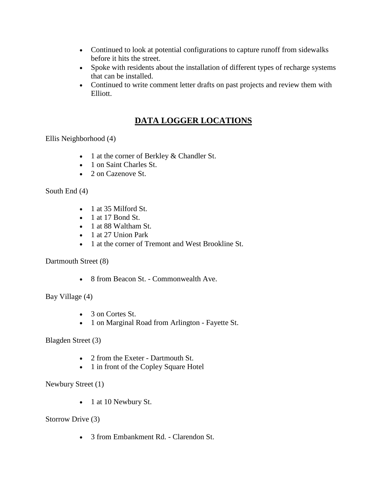- Continued to look at potential configurations to capture runoff from sidewalks before it hits the street.
- Spoke with residents about the installation of different types of recharge systems that can be installed.
- Continued to write comment letter drafts on past projects and review them with Elliott.

# **DATA LOGGER LOCATIONS**

Ellis Neighborhood (4)

- 1 at the corner of Berkley & Chandler St.
- 1 on Saint Charles St.
- 2 on Cazenove St.

South End (4)

- 1 at 35 Milford St.
- $\bullet$  1 at 17 Bond St.
- 1 at 88 Waltham St.
- 1 at 27 Union Park
- 1 at the corner of Tremont and West Brookline St.

Dartmouth Street (8)

• 8 from Beacon St. - Commonwealth Ave.

Bay Village (4)

- 3 on Cortes St.
- 1 on Marginal Road from Arlington Fayette St.

Blagden Street (3)

- 2 from the Exeter Dartmouth St.
- 1 in front of the Copley Square Hotel

Newbury Street (1)

• 1 at 10 Newbury St.

Storrow Drive (3)

• 3 from Embankment Rd. - Clarendon St.